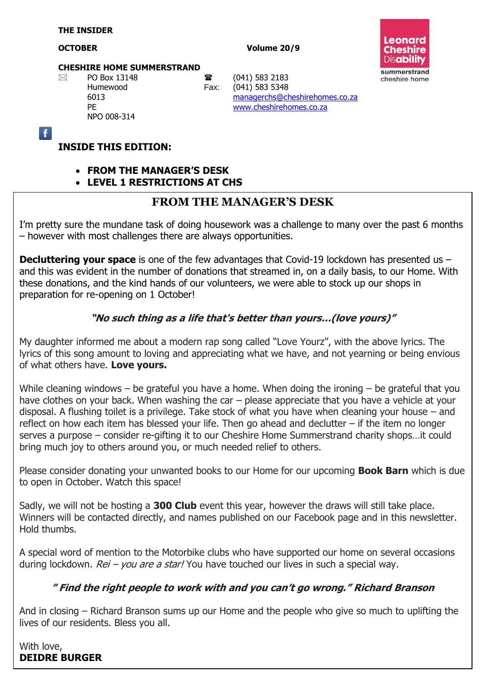#### **OCTOBER Volume 20/9**



#### **CHESHIRE HOME SUMMERSTRAND**

NPO 008-314

 $\boxtimes$  PO Box 13148 **a** (041) 583 2183 Humewood Fax: (041) 583 5348 6013 [managerchs@cheshirehomes.co.za](mailto:managerchs@cheshirehomes.co.za) PE [www.cheshirehomes.co.za](http://www.cheshirehomes.co.za/)

 $\overline{f}$ 

#### **INSIDE THIS EDITION:**

**FROM THE MANAGER'S DESK**

**LEVEL 1 RESTRICTIONS AT CHS**

#### **FROM THE MANAGER'S DESK**

I'm pretty sure the mundane task of doing housework was a challenge to many over the past 6 months – however with most challenges there are always opportunities.

**Decluttering your space** is one of the few advantages that Covid-19 lockdown has presented us and this was evident in the number of donations that streamed in, on a daily basis, to our Home. With these donations, and the kind hands of our volunteers, we were able to stock up our shops in preparation for re-opening on 1 October!

#### **"No such thing as a life that's better than yours…(love yours)"**

My daughter informed me about a modern rap song called "Love Yourz", with the above lyrics. The lyrics of this song amount to loving and appreciating what we have, and not yearning or being envious of what others have. **Love yours.**

While cleaning windows – be grateful you have a home. When doing the ironing – be grateful that you have clothes on your back. When washing the car – please appreciate that you have a vehicle at your disposal. A flushing toilet is a privilege. Take stock of what you have when cleaning your house – and reflect on how each item has blessed your life. Then go ahead and declutter – if the item no longer serves a purpose – consider re-gifting it to our Cheshire Home Summerstrand charity shops…it could bring much joy to others around you, or much needed relief to others.

Please consider donating your unwanted books to our Home for our upcoming **Book Barn** which is due to open in October. Watch this space!

Sadly, we will not be hosting a **300 Club** event this year, however the draws will still take place. Winners will be contacted directly, and names published on our Facebook page and in this newsletter. Hold thumbs.

A special word of mention to the Motorbike clubs who have supported our home on several occasions during lockdown.  $Rei$  – you are a star! You have touched our lives in such a special way.

#### **" Find the right people to work with and you can't go wrong." Richard Branson**

And in closing – Richard Branson sums up our Home and the people who give so much to uplifting the lives of our residents. Bless you all.

With love, **DEIDRE BURGER**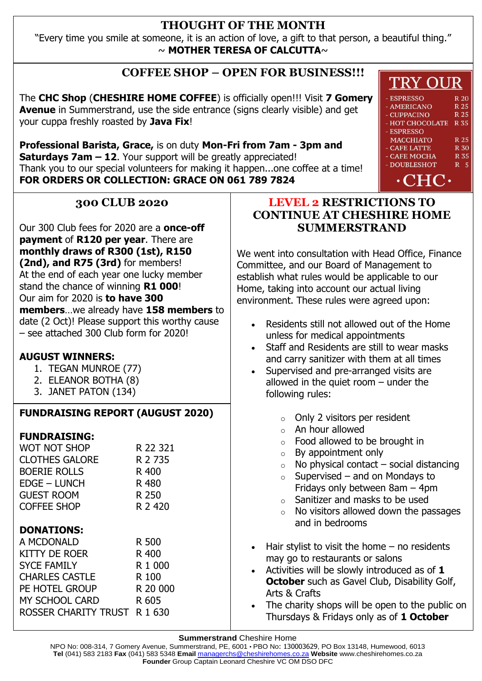#### **THOUGHT OF THE MONTH**

"Every time you smile at someone, it is an action of love, a gift to that person, a beautiful thing."  $\sim$  **MOTHER TERESA OF CALCUTTA** $\sim$ 

# **COFFEE SHOP – OPEN FOR BUSINESS!!!**

The **CHC Shop** (**CHESHIRE HOME COFFEE**) is officially open!!! Visit **7 Gomery Avenue** in Summerstrand, use the side entrance (signs clearly visible) and get your cuppa freshly roasted by **Java Fix**!

**Professional Barista, Grace,** is on duty **Mon-Fri from 7am - 3pm and Saturdays 7am – 12.** Your support will be greatly appreciated! Thank you to our special volunteers for making it happen...one coffee at a time! **FOR ORDERS OR COLLECTION: GRACE ON 061 789 7824**

#### **300 CLUB 2020**

Our 300 Club fees for 2020 are a **once-off payment** of **R120 per year**. There are **monthly draws of R300 (1st), R150 (2nd), and R75 (3rd)** for members! At the end of each year one lucky member stand the chance of winning **R1 000**! Our aim for 2020 is **to have 300 members**…we already have **158 members** to date (2 Oct)! Please support this worthy cause – see attached 300 Club form for 2020!

#### **AUGUST WINNERS:**

- 1. TEGAN MUNROE (77)
- 2. ELEANOR BOTHA (8)
- 3. JANET PATON (134)

# **FUNDRAISING REPORT (AUGUST 2020)**

#### **FUNDRAISING:**

| WOT NOT SHOP          | R 22 321 |
|-----------------------|----------|
| <b>CLOTHES GALORE</b> | R 2 735  |
| <b>BOERIE ROLLS</b>   | R 400    |
| <b>EDGE - LUNCH</b>   | R 480    |
| <b>GUEST ROOM</b>     | R 250    |
| <b>COFFEE SHOP</b>    | R 2 420  |
|                       |          |

#### **DONATIONS:**

| R 500                        |
|------------------------------|
| R 400                        |
| R 1 000                      |
| R 100                        |
| R 20 000                     |
| R 605                        |
| ROSSER CHARITY TRUST R 1 630 |
|                              |

#### **LEVEL 2 RESTRICTIONS TO CONTINUE AT CHESHIRE HOME SUMMERSTRAND**

We went into consultation with Head Office, Finance Committee, and our Board of Management to establish what rules would be applicable to our Home, taking into account our actual living environment. These rules were agreed upon:

- Residents still not allowed out of the Home unless for medical appointments
- Staff and Residents are still to wear masks and carry sanitizer with them at all times
- Supervised and pre-arranged visits are allowed in the quiet room  $-$  under the following rules:
	- o Only 2 visitors per resident
	- o An hour allowed
	- o Food allowed to be brought in
	- o By appointment only
	- $\circ$  No physical contact social distancing
	- $\circ$  Supervised and on Mondays to Fridays only between 8am – 4pm
	- o Sanitizer and masks to be used
	- $\circ$  No visitors allowed down the passages and in bedrooms
- $\bullet$  Hair stylist to visit the home no residents may go to restaurants or salons
- Activities will be slowly introduced as of **1 October** such as Gavel Club, Disability Golf, Arts & Crafts
- The charity shops will be open to the public on Thursdays & Fridays only as of **1 October**

NPO No: 008-314, 7 Gomery Avenue, Summerstrand, PE, 6001 • PBO No: 130003629, PO Box 13148, Humewood, 6013 **Tel** (041) 583 2183 **Fax** (041) 583 5348 **Email** managerchs@cheshirehomes.co.za **Website** www.cheshirehomes.co.za **Founder** Group Captain Leonard Cheshire VC OM DSO DFC

# **TRY OUR**

- $-$ **ESPRESSO** R 20 - AMERICANO **R25** - CUPPACINO R 25 - HOT CHOCOLATE R 35
- ESPRESSO **MACCHIATO**  $R<sub>25</sub>$
- **R** 30 - CAFE LATTE **R35**

 $R<sub>5</sub>$ 

- CAFE MOCHA - DOUBLESHOT

 $\cdot$ CHC $\cdot$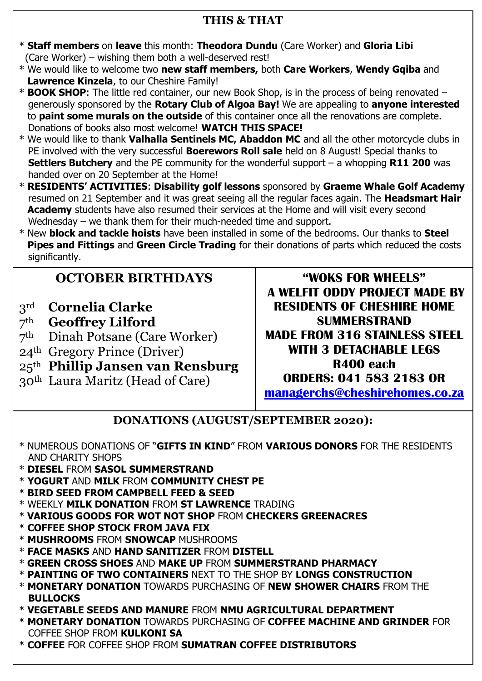# **THIS & THAT**

- \* **Staff members** on **leave** this month: **Theodora Dundu** (Care Worker) and **Gloria Libi** (Care Worker) – wishing them both a well-deserved rest!
- \* We would like to welcome two **new staff members,** both **Care Workers**, **Wendy Gqiba** and  **Lawrence Kinzela**, to our Cheshire Family!
- \* **BOOK SHOP**: The little red container, our new Book Shop, is in the process of being renovated generously sponsored by the **Rotary Club of Algoa Bay!** We are appealing to **anyone interested** to **paint some murals on the outside** of this container once all the renovations are complete. Donations of books also most welcome! **WATCH THIS SPACE!**
- \* We would like to thank **Valhalla Sentinels MC, Abaddon MC** and all the other motorcycle clubs in PE involved with the very successful **Boerewors Roll sale** held on 8 August! Special thanks to **Settlers Butchery** and the PE community for the wonderful support – a whopping **R11 200** was handed over on 20 September at the Home!
- \* **RESIDENTS' ACTIVITIES**: **Disability golf lessons** sponsored by **Graeme Whale Golf Academy** resumed on 21 September and it was great seeing all the regular faces again. The **Headsmart Hair Academy** students have also resumed their services at the Home and will visit every second Wednesday – we thank them for their much-needed time and support.
- \* New **block and tackle hoists** have been installed in some of the bedrooms. Our thanks to **Steel Pipes and Fittings** and **Green Circle Trading** for their donations of parts which reduced the costs significantly.

# **OCTOBER BIRTHDAYS**

- 3rd **Cornelia Clarke**
- 7th **Geoffrey Lilford**
- 7th Dinah Potsane (Care Worker)
- 24th Gregory Prince (Driver)
- 25th **Phillip Jansen van Rensburg**
- 30th Laura Maritz (Head of Care)

**"WOKS FOR WHEELS" A WELFIT ODDY PROJECT MADE BY RESIDENTS OF CHESHIRE HOME SUMMERSTRAND MADE FROM 316 STAINLESS STEEL WITH 3 DETACHABLE LEGS R400 each ORDERS: 041 583 2183 OR [managerchs@cheshirehomes.co.za](mailto:managerchs@cheshirehomes.co.za)**

**DONATIONS (AUGUST/SEPTEMBER 2020):**

- \* NUMEROUS DONATIONS OF "**GIFTS IN KIND**" FROM **VARIOUS DONORS** FOR THE RESIDENTS AND CHARITY SHOPS
- \* **DIESEL** FROM **SASOL SUMMERSTRAND**
- \* **YOGURT** AND **MILK** FROM **COMMUNITY CHEST PE**
- \* **BIRD SEED FROM CAMPBELL FEED & SEED**
- \* WEEKLY **MILK DONATION** FROM **ST LAWRENCE** TRADING
- \* **VARIOUS GOODS FOR WOT NOT SHOP** FROM **CHECKERS GREENACRES**
- \* **COFFEE SHOP STOCK FROM JAVA FIX**
- \* **MUSHROOMS** FROM **SNOWCAP** MUSHROOMS
- \* **FACE MASKS** AND **HAND SANITIZER** FROM **DISTELL**
- \* **GREEN CROSS SHOES** AND **MAKE UP** FROM **SUMMERSTRAND PHARMACY**
- \* **PAINTING OF TWO CONTAINERS** NEXT TO THE SHOP BY **LONGS CONSTRUCTION**
- \* **MONETARY DONATION** TOWARDS PURCHASING OF **NEW SHOWER CHAIRS** FROM THE **BULLOCKS**
- \* **VEGETABLE SEEDS AND MANURE** FROM **NMU AGRICULTURAL DEPARTMENT**
- \* **MONETARY DONATION** TOWARDS PURCHASING OF **COFFEE MACHINE AND GRINDER** FOR COFFEE SHOP FROM **KULKONI SA**
- \* **COFFEE** FOR COFFEE SHOP FROM **SUMATRAN COFFEE DISTRIBUTORS**